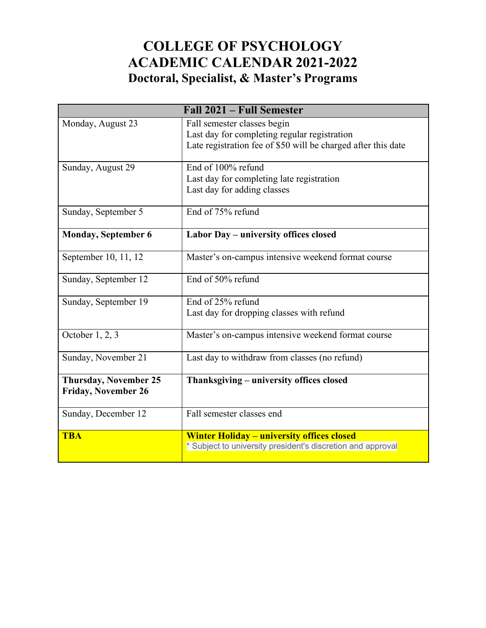# **COLLEGE OF PSYCHOLOGY ACADEMIC CALENDAR 2021-2022 Doctoral, Specialist, & Master's Programs**

|                              | Fall 2021 - Full Semester                                     |
|------------------------------|---------------------------------------------------------------|
| Monday, August 23            | Fall semester classes begin                                   |
|                              | Last day for completing regular registration                  |
|                              | Late registration fee of \$50 will be charged after this date |
|                              |                                                               |
| Sunday, August 29            | End of 100% refund                                            |
|                              | Last day for completing late registration                     |
|                              | Last day for adding classes                                   |
| Sunday, September 5          | End of 75% refund                                             |
|                              |                                                               |
| <b>Monday, September 6</b>   | Labor Day - university offices closed                         |
|                              |                                                               |
| September 10, 11, 12         | Master's on-campus intensive weekend format course            |
| Sunday, September 12         | End of 50% refund                                             |
|                              |                                                               |
| Sunday, September 19         | End of 25% refund                                             |
|                              | Last day for dropping classes with refund                     |
|                              |                                                               |
| October $1, 2, 3$            | Master's on-campus intensive weekend format course            |
| Sunday, November 21          | Last day to withdraw from classes (no refund)                 |
|                              |                                                               |
| <b>Thursday, November 25</b> | Thanksgiving – university offices closed                      |
| <b>Friday, November 26</b>   |                                                               |
|                              |                                                               |
| Sunday, December 12          | Fall semester classes end                                     |
|                              |                                                               |
| <b>TBA</b>                   | <b>Winter Holiday - university offices closed</b>             |
|                              | * Subject to university president's discretion and approval   |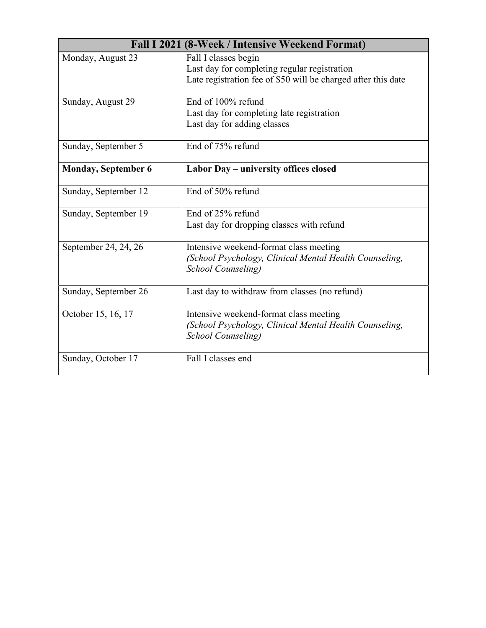|                            | Fall I 2021 (8-Week / Intensive Weekend Format)                                                                                       |
|----------------------------|---------------------------------------------------------------------------------------------------------------------------------------|
| Monday, August 23          | Fall I classes begin<br>Last day for completing regular registration<br>Late registration fee of \$50 will be charged after this date |
| Sunday, August 29          | End of 100% refund<br>Last day for completing late registration<br>Last day for adding classes                                        |
| Sunday, September 5        | End of 75% refund                                                                                                                     |
| <b>Monday, September 6</b> | Labor Day – university offices closed                                                                                                 |
| Sunday, September 12       | End of 50% refund                                                                                                                     |
| Sunday, September 19       | End of 25% refund<br>Last day for dropping classes with refund                                                                        |
| September 24, 24, 26       | Intensive weekend-format class meeting<br>(School Psychology, Clinical Mental Health Counseling,<br><b>School Counseling</b> )        |
| Sunday, September 26       | Last day to withdraw from classes (no refund)                                                                                         |
| October 15, 16, 17         | Intensive weekend-format class meeting<br>(School Psychology, Clinical Mental Health Counseling,<br>School Counseling)                |
| Sunday, October 17         | Fall I classes end                                                                                                                    |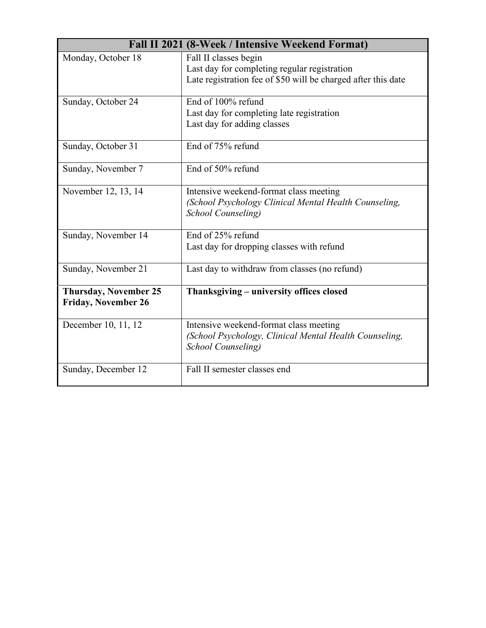|                                                            | Fall II 2021 (8-Week / Intensive Weekend Format)                                                                                       |
|------------------------------------------------------------|----------------------------------------------------------------------------------------------------------------------------------------|
| Monday, October 18                                         | Fall II classes begin<br>Last day for completing regular registration<br>Late registration fee of \$50 will be charged after this date |
| Sunday, October 24                                         | End of 100% refund<br>Last day for completing late registration<br>Last day for adding classes                                         |
| Sunday, October 31                                         | End of 75% refund                                                                                                                      |
| Sunday, November 7                                         | End of 50% refund                                                                                                                      |
| November 12, 13, 14                                        | Intensive weekend-format class meeting<br>(School Psychology Clinical Mental Health Counseling,<br>School Counseling)                  |
| Sunday, November 14                                        | End of 25% refund<br>Last day for dropping classes with refund                                                                         |
| Sunday, November 21                                        | Last day to withdraw from classes (no refund)                                                                                          |
| <b>Thursday, November 25</b><br><b>Friday, November 26</b> | Thanksgiving - university offices closed                                                                                               |
| December 10, 11, 12                                        | Intensive weekend-format class meeting<br>(School Psychology, Clinical Mental Health Counseling,<br><b>School Counseling</b> )         |
| Sunday, December 12                                        | Fall II semester classes end                                                                                                           |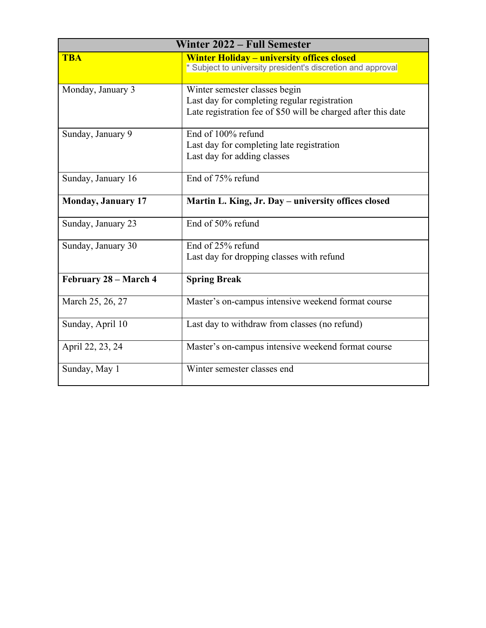|                           | Winter 2022 - Full Semester                                                                                   |
|---------------------------|---------------------------------------------------------------------------------------------------------------|
| <b>TBA</b>                | <b>Winter Holiday - university offices closed</b>                                                             |
|                           | * Subject to university president's discretion and approval                                                   |
|                           |                                                                                                               |
| Monday, January 3         | Winter semester classes begin                                                                                 |
|                           | Last day for completing regular registration<br>Late registration fee of \$50 will be charged after this date |
|                           |                                                                                                               |
| Sunday, January 9         | End of 100% refund                                                                                            |
|                           | Last day for completing late registration                                                                     |
|                           | Last day for adding classes                                                                                   |
| Sunday, January 16        | End of 75% refund                                                                                             |
|                           |                                                                                                               |
| <b>Monday, January 17</b> | Martin L. King, Jr. Day - university offices closed                                                           |
| Sunday, January 23        | End of 50% refund                                                                                             |
| Sunday, January 30        | End of 25% refund                                                                                             |
|                           | Last day for dropping classes with refund                                                                     |
| February 28 - March 4     | <b>Spring Break</b>                                                                                           |
| March 25, 26, 27          | Master's on-campus intensive weekend format course                                                            |
| Sunday, April 10          | Last day to withdraw from classes (no refund)                                                                 |
| April 22, 23, 24          | Master's on-campus intensive weekend format course                                                            |
| Sunday, May 1             | Winter semester classes end                                                                                   |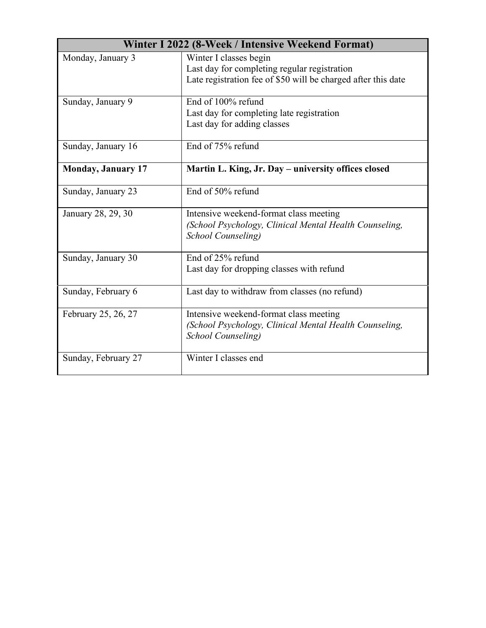|                           | Winter I 2022 (8-Week / Intensive Weekend Format)                                                                                       |
|---------------------------|-----------------------------------------------------------------------------------------------------------------------------------------|
| Monday, January 3         | Winter I classes begin<br>Last day for completing regular registration<br>Late registration fee of \$50 will be charged after this date |
| Sunday, January 9         | End of 100% refund<br>Last day for completing late registration<br>Last day for adding classes                                          |
| Sunday, January 16        | End of 75% refund                                                                                                                       |
| <b>Monday, January 17</b> | Martin L. King, Jr. Day - university offices closed                                                                                     |
| Sunday, January 23        | End of 50% refund                                                                                                                       |
| January 28, 29, 30        | Intensive weekend-format class meeting<br>(School Psychology, Clinical Mental Health Counseling,<br><b>School Counseling</b> )          |
| Sunday, January 30        | End of 25% refund<br>Last day for dropping classes with refund                                                                          |
| Sunday, February 6        | Last day to withdraw from classes (no refund)                                                                                           |
| February 25, 26, 27       | Intensive weekend-format class meeting<br>(School Psychology, Clinical Mental Health Counseling,<br><b>School Counseling</b> )          |
| Sunday, February 27       | Winter I classes end                                                                                                                    |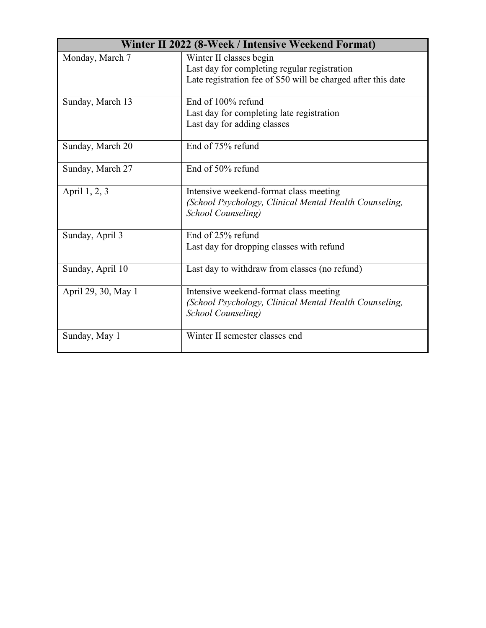|                     | Winter II 2022 (8-Week / Intensive Weekend Format)                                                                                       |
|---------------------|------------------------------------------------------------------------------------------------------------------------------------------|
| Monday, March 7     | Winter II classes begin<br>Last day for completing regular registration<br>Late registration fee of \$50 will be charged after this date |
| Sunday, March 13    | End of 100% refund<br>Last day for completing late registration<br>Last day for adding classes                                           |
| Sunday, March 20    | End of 75% refund                                                                                                                        |
| Sunday, March 27    | End of 50% refund                                                                                                                        |
| April 1, 2, 3       | Intensive weekend-format class meeting<br>(School Psychology, Clinical Mental Health Counseling,<br>School Counseling)                   |
| Sunday, April 3     | End of 25% refund<br>Last day for dropping classes with refund                                                                           |
| Sunday, April 10    | Last day to withdraw from classes (no refund)                                                                                            |
| April 29, 30, May 1 | Intensive weekend-format class meeting<br>(School Psychology, Clinical Mental Health Counseling,<br><b>School Counseling</b> )           |
| Sunday, May 1       | Winter II semester classes end                                                                                                           |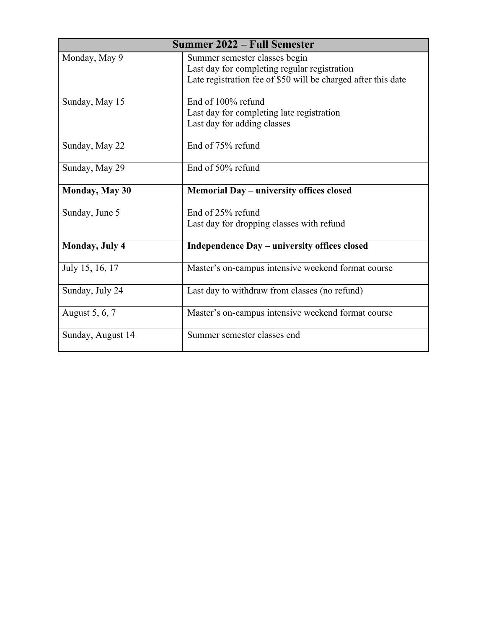|                        | <b>Summer 2022 – Full Semester</b>                            |
|------------------------|---------------------------------------------------------------|
| Monday, May 9          | Summer semester classes begin                                 |
|                        | Last day for completing regular registration                  |
|                        | Late registration fee of \$50 will be charged after this date |
| Sunday, May 15         | End of 100% refund                                            |
|                        | Last day for completing late registration                     |
|                        | Last day for adding classes                                   |
| Sunday, May 22         | End of 75% refund                                             |
| Sunday, May 29         | End of 50% refund                                             |
|                        |                                                               |
| <b>Monday, May 30</b>  | Memorial Day - university offices closed                      |
| Sunday, June 5         | End of 25% refund                                             |
|                        | Last day for dropping classes with refund                     |
| <b>Monday</b> , July 4 | Independence Day – university offices closed                  |
| July 15, 16, 17        | Master's on-campus intensive weekend format course            |
| Sunday, July 24        | Last day to withdraw from classes (no refund)                 |
| August 5, 6, 7         | Master's on-campus intensive weekend format course            |
| Sunday, August 14      | Summer semester classes end                                   |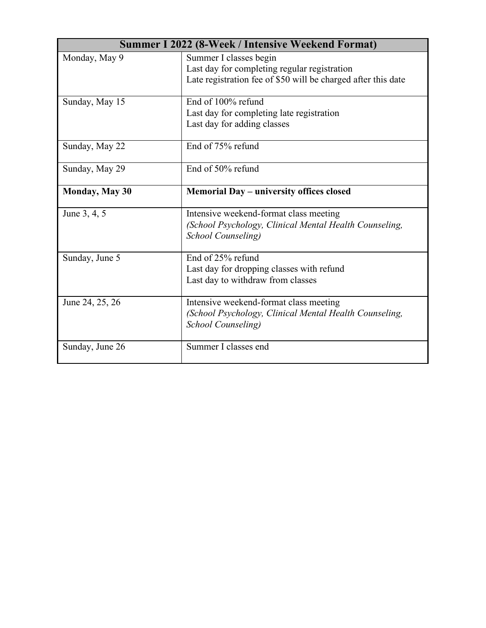|                       | <b>Summer I 2022 (8-Week / Intensive Weekend Format)</b>                                                                       |
|-----------------------|--------------------------------------------------------------------------------------------------------------------------------|
| Monday, May 9         | Summer I classes begin<br>Last day for completing regular registration                                                         |
|                       | Late registration fee of \$50 will be charged after this date                                                                  |
| Sunday, May 15        | End of 100% refund                                                                                                             |
|                       | Last day for completing late registration                                                                                      |
|                       | Last day for adding classes                                                                                                    |
| Sunday, May 22        | End of 75% refund                                                                                                              |
| Sunday, May 29        | End of 50% refund                                                                                                              |
| <b>Monday, May 30</b> | Memorial Day – university offices closed                                                                                       |
| June 3, 4, 5          | Intensive weekend-format class meeting<br>(School Psychology, Clinical Mental Health Counseling,<br><b>School Counseling</b> ) |
|                       | End of 25% refund                                                                                                              |
| Sunday, June 5        | Last day for dropping classes with refund                                                                                      |
|                       | Last day to withdraw from classes                                                                                              |
| June 24, 25, 26       | Intensive weekend-format class meeting<br>(School Psychology, Clinical Mental Health Counseling,<br><b>School Counseling</b> ) |
| Sunday, June 26       | Summer I classes end                                                                                                           |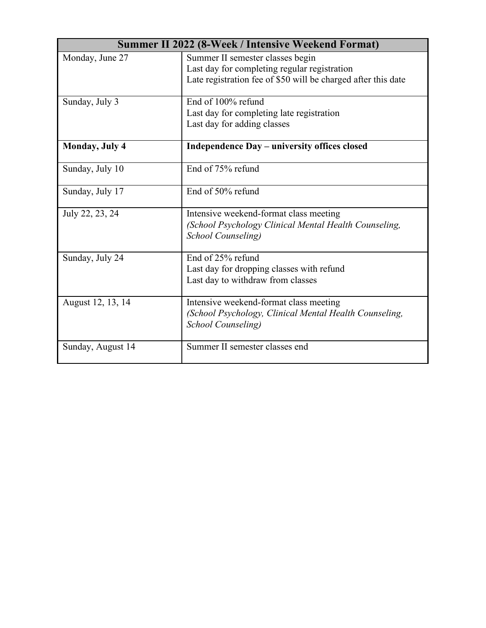|                        | <b>Summer II 2022 (8-Week / Intensive Weekend Format)</b>                                                                                         |
|------------------------|---------------------------------------------------------------------------------------------------------------------------------------------------|
| Monday, June 27        | Summer II semester classes begin<br>Last day for completing regular registration<br>Late registration fee of \$50 will be charged after this date |
| Sunday, July 3         | End of 100% refund<br>Last day for completing late registration<br>Last day for adding classes                                                    |
| <b>Monday</b> , July 4 | Independence Day - university offices closed                                                                                                      |
| Sunday, July 10        | End of 75% refund                                                                                                                                 |
| Sunday, July 17        | End of 50% refund                                                                                                                                 |
| July 22, 23, 24        | Intensive weekend-format class meeting<br>(School Psychology Clinical Mental Health Counseling,<br><b>School Counseling</b> )                     |
| Sunday, July 24        | End of 25% refund<br>Last day for dropping classes with refund<br>Last day to withdraw from classes                                               |
| August 12, 13, 14      | Intensive weekend-format class meeting<br>(School Psychology, Clinical Mental Health Counseling,<br><b>School Counseling</b> )                    |
| Sunday, August 14      | Summer II semester classes end                                                                                                                    |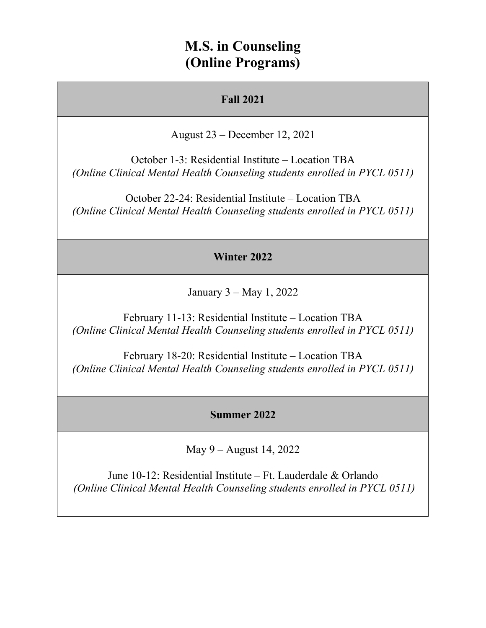# **M.S. in Counseling (Online Programs)**

### **Fall 2021**

August 23 – December 12, 2021

October 1-3: Residential Institute – Location TBA *(Online Clinical Mental Health Counseling students enrolled in PYCL 0511)*

October 22-24: Residential Institute – Location TBA *(Online Clinical Mental Health Counseling students enrolled in PYCL 0511)*

### **Winter 2022**

January 3 – May 1, 2022

February 11-13: Residential Institute – Location TBA *(Online Clinical Mental Health Counseling students enrolled in PYCL 0511)*

February 18-20: Residential Institute – Location TBA *(Online Clinical Mental Health Counseling students enrolled in PYCL 0511)*

#### **Summer 2022**

May 9 – August 14, 2022

June 10-12: Residential Institute – Ft. Lauderdale & Orlando *(Online Clinical Mental Health Counseling students enrolled in PYCL 0511)*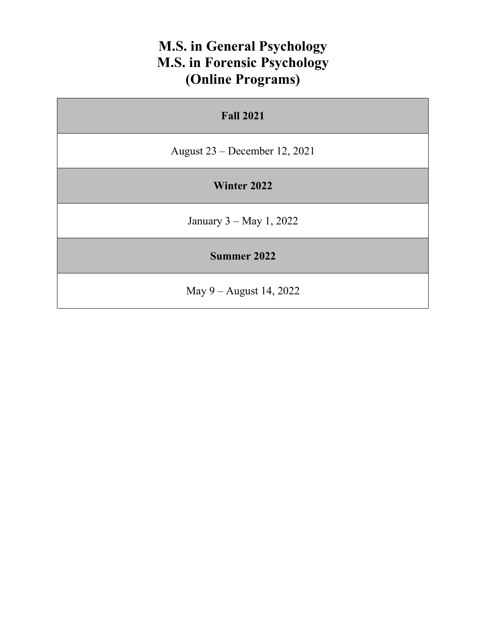# **M.S. in General Psychology M.S. in Forensic Psychology (Online Programs)**

| <b>Fall 2021</b>                |
|---------------------------------|
| August $23$ – December 12, 2021 |
| Winter 2022                     |
| January $3 - May 1, 2022$       |
| <b>Summer 2022</b>              |
| May $9 -$ August 14, 2022       |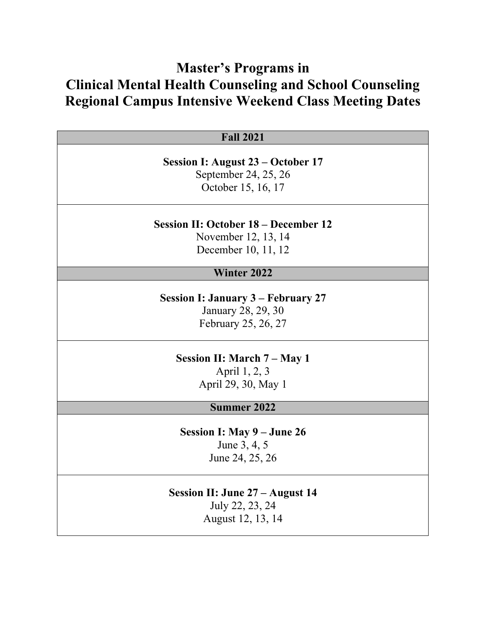# **Master's Programs in Clinical Mental Health Counseling and School Counseling Regional Campus Intensive Weekend Class Meeting Dates**

| <b>Fall 2021</b>                            |
|---------------------------------------------|
|                                             |
| Session I: August 23 – October 17           |
| September 24, 25, 26                        |
| October 15, 16, 17                          |
| <b>Session II: October 18 – December 12</b> |
| November 12, 13, 14                         |
| December 10, 11, 12                         |
|                                             |
| <b>Winter 2022</b>                          |
|                                             |
| <b>Session I: January 3 – February 27</b>   |
| January 28, 29, 30                          |
| February 25, 26, 27                         |
| Session II: March 7 – May 1                 |
| April 1, 2, 3                               |
| April 29, 30, May 1                         |
|                                             |
| Summer 2022                                 |
| Session I: May 9 – June 26                  |
| June 3, 4, 5                                |
| June 24, 25, 26                             |
|                                             |
| <b>Session II: June 27 - August 14</b>      |
| July 22, 23, 24                             |

August 12, 13, 14